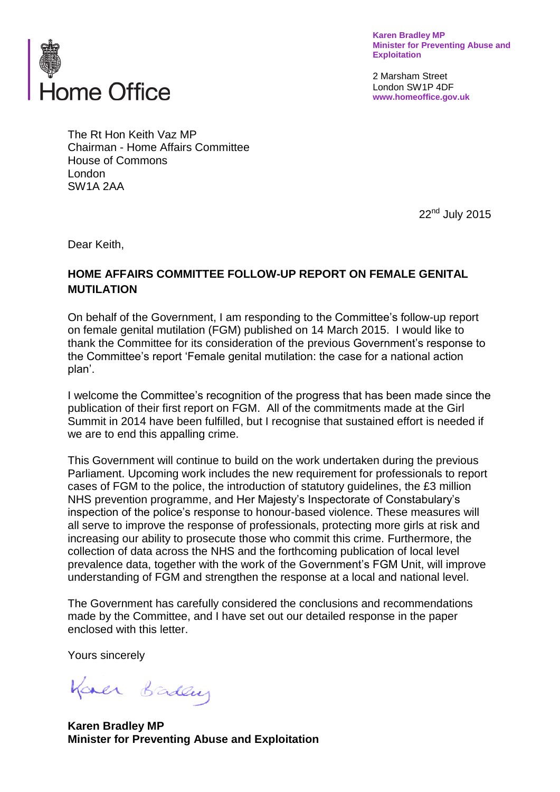

**Karen Bradley MP Minister for Preventing Abuse and Exploitation**

2 Marsham Street London SW1P 4DF **www.homeoffice.gov.uk**

The Rt Hon Keith Vaz MP Chairman - Home Affairs Committee House of Commons London SW1A 2AA

22<sup>nd</sup> July 2015

Dear Keith,

# **HOME AFFAIRS COMMITTEE FOLLOW-UP REPORT ON FEMALE GENITAL MUTILATION**

On behalf of the Government, I am responding to the Committee's follow-up report on female genital mutilation (FGM) published on 14 March 2015. I would like to thank the Committee for its consideration of the previous Government's response to the Committee's report 'Female genital mutilation: the case for a national action plan'.

I welcome the Committee's recognition of the progress that has been made since the publication of their first report on FGM. All of the commitments made at the Girl Summit in 2014 have been fulfilled, but I recognise that sustained effort is needed if we are to end this appalling crime.

This Government will continue to build on the work undertaken during the previous Parliament. Upcoming work includes the new requirement for professionals to report cases of FGM to the police, the introduction of statutory guidelines, the £3 million NHS prevention programme, and Her Majesty's Inspectorate of Constabulary's inspection of the police's response to honour-based violence. These measures will all serve to improve the response of professionals, protecting more girls at risk and increasing our ability to prosecute those who commit this crime. Furthermore, the collection of data across the NHS and the forthcoming publication of local level prevalence data, together with the work of the Government's FGM Unit, will improve understanding of FGM and strengthen the response at a local and national level.

The Government has carefully considered the conclusions and recommendations made by the Committee, and I have set out our detailed response in the paper enclosed with this letter.

Yours sincerely

Kaner Baden

**Karen Bradley MP Minister for Preventing Abuse and Exploitation**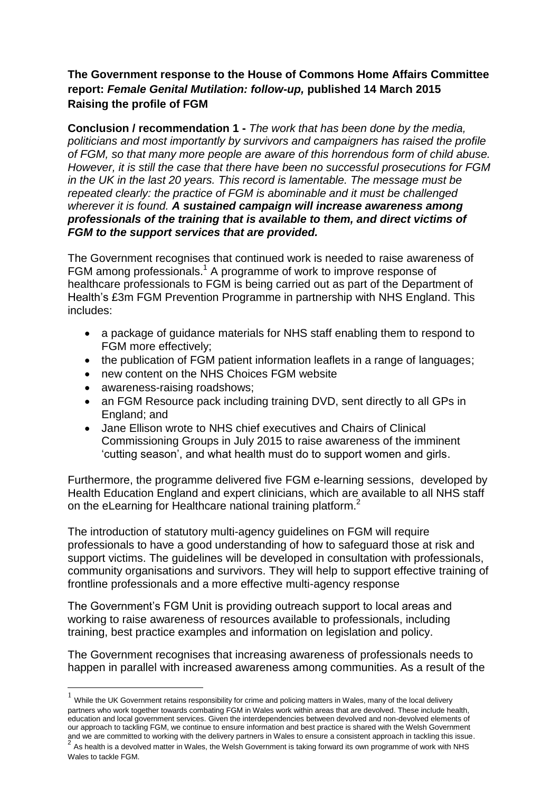# **The Government response to the House of Commons Home Affairs Committee report:** *Female Genital Mutilation: follow-up,* **published 14 March 2015 Raising the profile of FGM**

**Conclusion / recommendation 1 -** *The work that has been done by the media, politicians and most importantly by survivors and campaigners has raised the profile of FGM, so that many more people are aware of this horrendous form of child abuse. However, it is still the case that there have been no successful prosecutions for FGM in the UK in the last 20 years. This record is lamentable. The message must be repeated clearly: the practice of FGM is abominable and it must be challenged wherever it is found. A sustained campaign will increase awareness among professionals of the training that is available to them, and direct victims of FGM to the support services that are provided.*

The Government recognises that continued work is needed to raise awareness of FGM among professionals.<sup>1</sup> A programme of work to improve response of healthcare professionals to FGM is being carried out as part of the Department of Health's £3m FGM Prevention Programme in partnership with NHS England. This includes:

- a package of guidance materials for NHS staff enabling them to respond to FGM more effectively;
- the publication of FGM patient information leaflets in a range of languages;
- new content on the NHS Choices FGM website
- awareness-raising roadshows:

1

- an FGM Resource pack including training DVD, sent directly to all GPs in England; and
- Jane Ellison wrote to NHS chief executives and Chairs of Clinical Commissioning Groups in July 2015 to raise awareness of the imminent 'cutting season', and what health must do to support women and girls.

Furthermore, the programme delivered five FGM e-learning sessions, developed by Health Education England and expert clinicians, which are available to all NHS staff on the eLearning for Healthcare national training platform.<sup>2</sup>

The introduction of statutory multi-agency guidelines on FGM will require professionals to have a good understanding of how to safeguard those at risk and support victims. The guidelines will be developed in consultation with professionals, community organisations and survivors. They will help to support effective training of frontline professionals and a more effective multi-agency response

The Government's FGM Unit is providing outreach support to local areas and working to raise awareness of resources available to professionals, including training, best practice examples and information on legislation and policy.

The Government recognises that increasing awareness of professionals needs to happen in parallel with increased awareness among communities. As a result of the

 $1$  While the UK Government retains responsibility for crime and policing matters in Wales, many of the local delivery partners who work together towards combating FGM in Wales work within areas that are devolved. These include health, education and local government services. Given the interdependencies between devolved and non-devolved elements of our approach to tackling FGM, we continue to ensure information and best practice is shared with the Welsh Government and we are committed to working with the delivery partners in Wales to ensure a consistent approach in tackling this issue.<br><sup>2</sup>. As has the is a developd matter in Wales, the Waleh Covernment is taking fanyord its summar r As health is a devolved matter in Wales, the Welsh Government is taking forward its own programme of work with NHS Wales to tackle FGM.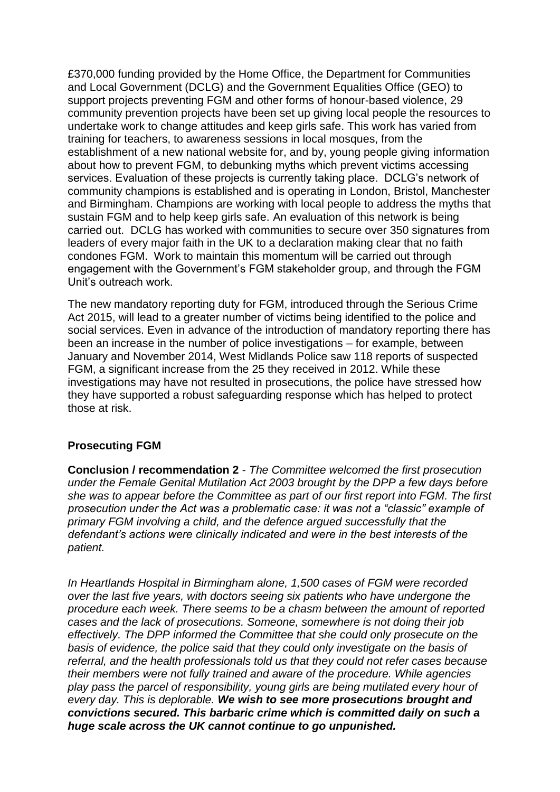£370,000 funding provided by the Home Office, the Department for Communities and Local Government (DCLG) and the Government Equalities Office (GEO) to support projects preventing FGM and other forms of honour-based violence, 29 community prevention projects have been set up giving local people the resources to undertake work to change attitudes and keep girls safe. This work has varied from training for teachers, to awareness sessions in local mosques, from the establishment of a new national website for, and by, young people giving information about how to prevent FGM, to debunking myths which prevent victims accessing services. Evaluation of these projects is currently taking place. DCLG's network of community champions is established and is operating in London, Bristol, Manchester and Birmingham. Champions are working with local people to address the myths that sustain FGM and to help keep girls safe. An evaluation of this network is being carried out. DCLG has worked with communities to secure over 350 signatures from leaders of every major faith in the UK to a declaration making clear that no faith condones FGM. Work to maintain this momentum will be carried out through engagement with the Government's FGM stakeholder group, and through the FGM Unit's outreach work.

The new mandatory reporting duty for FGM, introduced through the Serious Crime Act 2015, will lead to a greater number of victims being identified to the police and social services. Even in advance of the introduction of mandatory reporting there has been an increase in the number of police investigations – for example, between January and November 2014, West Midlands Police saw 118 reports of suspected FGM, a significant increase from the 25 they received in 2012. While these investigations may have not resulted in prosecutions, the police have stressed how they have supported a robust safeguarding response which has helped to protect those at risk.

## **Prosecuting FGM**

**Conclusion / recommendation 2** - *The Committee welcomed the first prosecution under the Female Genital Mutilation Act 2003 brought by the DPP a few days before she was to appear before the Committee as part of our first report into FGM. The first prosecution under the Act was a problematic case: it was not a "classic" example of primary FGM involving a child, and the defence argued successfully that the defendant's actions were clinically indicated and were in the best interests of the patient.* 

*In Heartlands Hospital in Birmingham alone, 1,500 cases of FGM were recorded over the last five years, with doctors seeing six patients who have undergone the procedure each week. There seems to be a chasm between the amount of reported cases and the lack of prosecutions. Someone, somewhere is not doing their job effectively. The DPP informed the Committee that she could only prosecute on the basis of evidence, the police said that they could only investigate on the basis of referral, and the health professionals told us that they could not refer cases because their members were not fully trained and aware of the procedure. While agencies play pass the parcel of responsibility, young girls are being mutilated every hour of every day. This is deplorable. We wish to see more prosecutions brought and convictions secured. This barbaric crime which is committed daily on such a huge scale across the UK cannot continue to go unpunished.*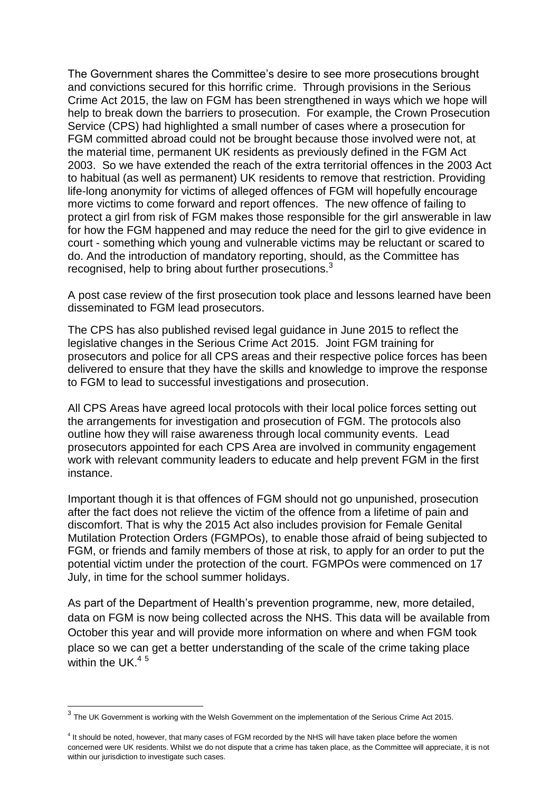The Government shares the Committee's desire to see more prosecutions brought and convictions secured for this horrific crime. Through provisions in the Serious Crime Act 2015, the law on FGM has been strengthened in ways which we hope will help to break down the barriers to prosecution. For example, the Crown Prosecution Service (CPS) had highlighted a small number of cases where a prosecution for FGM committed abroad could not be brought because those involved were not, at the material time, permanent UK residents as previously defined in the FGM Act 2003. So we have extended the reach of the extra territorial offences in the 2003 Act to habitual (as well as permanent) UK residents to remove that restriction. Providing life-long anonymity for victims of alleged offences of FGM will hopefully encourage more victims to come forward and report offences. The new offence of failing to protect a girl from risk of FGM makes those responsible for the girl answerable in law for how the FGM happened and may reduce the need for the girl to give evidence in court - something which young and vulnerable victims may be reluctant or scared to do. And the introduction of mandatory reporting, should, as the Committee has recognised, help to bring about further prosecutions.<sup>3</sup>

A post case review of the first prosecution took place and lessons learned have been disseminated to FGM lead prosecutors.

The CPS has also published revised legal guidance in June 2015 to reflect the legislative changes in the Serious Crime Act 2015. Joint FGM training for prosecutors and police for all CPS areas and their respective police forces has been delivered to ensure that they have the skills and knowledge to improve the response to FGM to lead to successful investigations and prosecution.

All CPS Areas have agreed local protocols with their local police forces setting out the arrangements for investigation and prosecution of FGM. The protocols also outline how they will raise awareness through local community events. Lead prosecutors appointed for each CPS Area are involved in community engagement work with relevant community leaders to educate and help prevent FGM in the first instance.

Important though it is that offences of FGM should not go unpunished, prosecution after the fact does not relieve the victim of the offence from a lifetime of pain and discomfort. That is why the 2015 Act also includes provision for Female Genital Mutilation Protection Orders (FGMPOs), to enable those afraid of being subjected to FGM, or friends and family members of those at risk, to apply for an order to put the potential victim under the protection of the court. FGMPOs were commenced on 17 July, in time for the school summer holidays.

As part of the Department of Health's prevention programme, new, more detailed, data on FGM is now being collected across the NHS. This data will be available from October this year and will provide more information on where and when FGM took place so we can get a better understanding of the scale of the crime taking place within the UK  $<sup>4.5</sup>$ </sup>

 3 The UK Government is working with the Welsh Government on the implementation of the Serious Crime Act 2015.

<sup>&</sup>lt;sup>4</sup> It should be noted, however, that many cases of FGM recorded by the NHS will have taken place before the women concerned were UK residents. Whilst we do not dispute that a crime has taken place, as the Committee will appreciate, it is not within our jurisdiction to investigate such cases.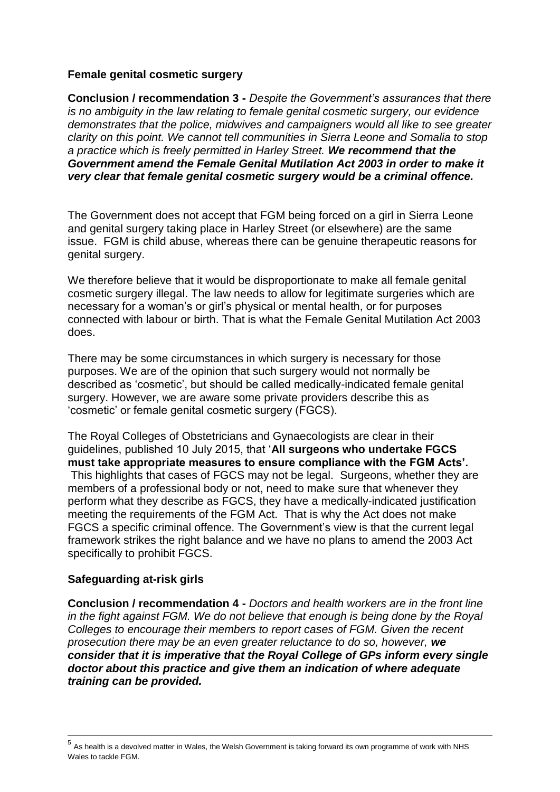## **Female genital cosmetic surgery**

**Conclusion / recommendation 3 -** *Despite the Government's assurances that there is no ambiguity in the law relating to female genital cosmetic surgery, our evidence demonstrates that the police, midwives and campaigners would all like to see greater clarity on this point. We cannot tell communities in Sierra Leone and Somalia to stop a practice which is freely permitted in Harley Street. We recommend that the Government amend the Female Genital Mutilation Act 2003 in order to make it very clear that female genital cosmetic surgery would be a criminal offence.*

The Government does not accept that FGM being forced on a girl in Sierra Leone and genital surgery taking place in Harley Street (or elsewhere) are the same issue. FGM is child abuse, whereas there can be genuine therapeutic reasons for genital surgery.

We therefore believe that it would be disproportionate to make all female genital cosmetic surgery illegal. The law needs to allow for legitimate surgeries which are necessary for a woman's or girl's physical or mental health, or for purposes connected with labour or birth. That is what the Female Genital Mutilation Act 2003 does.

There may be some circumstances in which surgery is necessary for those purposes. We are of the opinion that such surgery would not normally be described as 'cosmetic', but should be called medically-indicated female genital surgery. However, we are aware some private providers describe this as 'cosmetic' or female genital cosmetic surgery (FGCS).

The Royal Colleges of Obstetricians and Gynaecologists are clear in their guidelines, published 10 July 2015, that '**All surgeons who undertake FGCS must take appropriate measures to ensure compliance with the FGM Acts'.**  This highlights that cases of FGCS may not be legal. Surgeons, whether they are members of a professional body or not, need to make sure that whenever they perform what they describe as FGCS, they have a medically-indicated justification meeting the requirements of the FGM Act. That is why the Act does not make FGCS a specific criminal offence. The Government's view is that the current legal framework strikes the right balance and we have no plans to amend the 2003 Act specifically to prohibit FGCS.

## **Safeguarding at-risk girls**

<u>.</u>

**Conclusion / recommendation 4 -** *Doctors and health workers are in the front line in the fight against FGM. We do not believe that enough is being done by the Royal Colleges to encourage their members to report cases of FGM. Given the recent prosecution there may be an even greater reluctance to do so, however, we consider that it is imperative that the Royal College of GPs inform every single doctor about this practice and give them an indication of where adequate training can be provided.*

<sup>&</sup>lt;sup>5</sup> As health is a devolved matter in Wales, the Welsh Government is taking forward its own programme of work with NHS Wales to tackle FGM.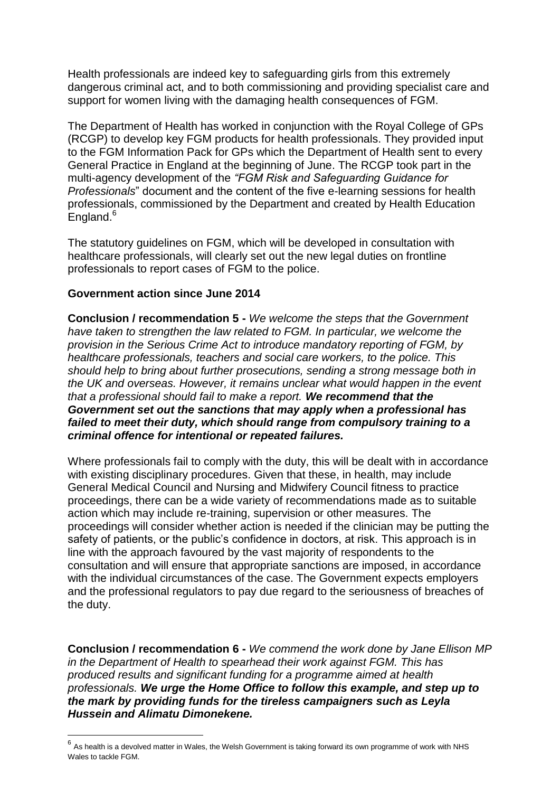Health professionals are indeed key to safeguarding girls from this extremely dangerous criminal act, and to both commissioning and providing specialist care and support for women living with the damaging health consequences of FGM.

The Department of Health has worked in conjunction with the Royal College of GPs (RCGP) to develop key FGM products for health professionals. They provided input to the FGM Information Pack for GPs which the Department of Health sent to every General Practice in England at the beginning of June. The RCGP took part in the multi-agency development of the *"FGM Risk and Safeguarding Guidance for Professionals*" document and the content of the five e-learning sessions for health professionals, commissioned by the Department and created by Health Education England.<sup>6</sup>

The statutory guidelines on FGM, which will be developed in consultation with healthcare professionals, will clearly set out the new legal duties on frontline professionals to report cases of FGM to the police.

## **Government action since June 2014**

<u>.</u>

**Conclusion / recommendation 5 -** *We welcome the steps that the Government have taken to strengthen the law related to FGM. In particular, we welcome the provision in the Serious Crime Act to introduce mandatory reporting of FGM, by healthcare professionals, teachers and social care workers, to the police. This should help to bring about further prosecutions, sending a strong message both in the UK and overseas. However, it remains unclear what would happen in the event that a professional should fail to make a report. We recommend that the Government set out the sanctions that may apply when a professional has failed to meet their duty, which should range from compulsory training to a criminal offence for intentional or repeated failures.*

Where professionals fail to comply with the duty, this will be dealt with in accordance with existing disciplinary procedures. Given that these, in health, may include General Medical Council and Nursing and Midwifery Council fitness to practice proceedings, there can be a wide variety of recommendations made as to suitable action which may include re-training, supervision or other measures. The proceedings will consider whether action is needed if the clinician may be putting the safety of patients, or the public's confidence in doctors, at risk. This approach is in line with the approach favoured by the vast majority of respondents to the consultation and will ensure that appropriate sanctions are imposed, in accordance with the individual circumstances of the case. The Government expects employers and the professional regulators to pay due regard to the seriousness of breaches of the duty.

**Conclusion / recommendation 6 -** *We commend the work done by Jane Ellison MP in the Department of Health to spearhead their work against FGM. This has produced results and significant funding for a programme aimed at health professionals. We urge the Home Office to follow this example, and step up to the mark by providing funds for the tireless campaigners such as Leyla Hussein and Alimatu Dimonekene.*

 $^6$  As health is a devolved matter in Wales, the Welsh Government is taking forward its own programme of work with NHS Wales to tackle FGM.